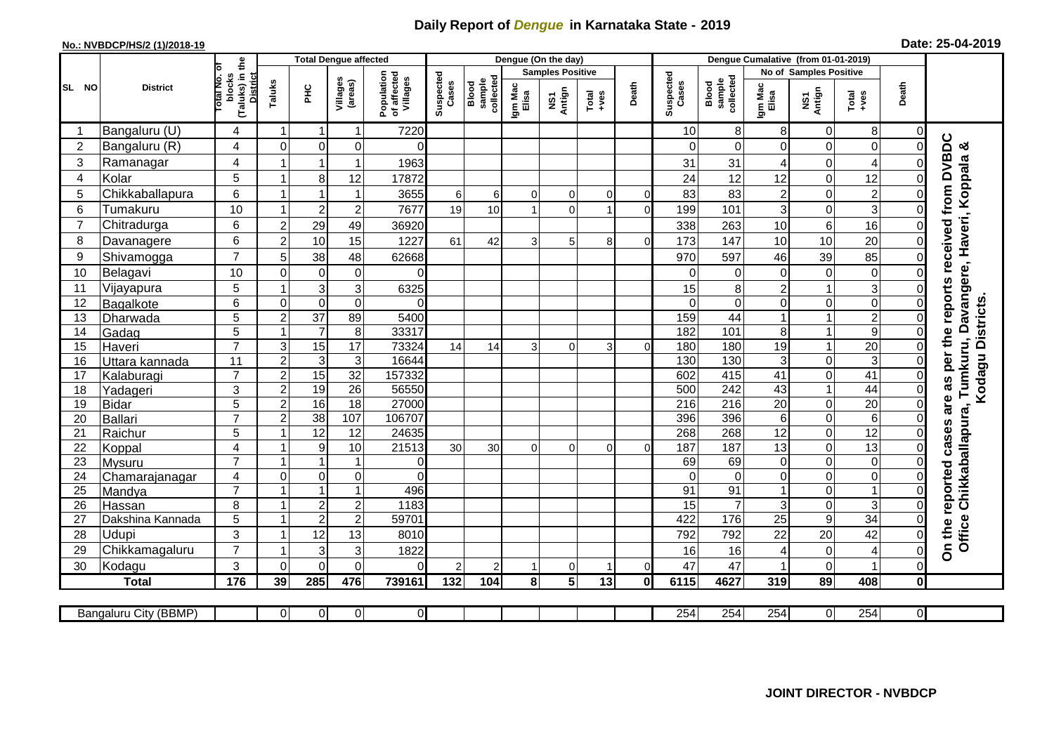## **Daily Report of** *Dengue* **in Karnataka State - 2019**

## **No.: NVBDCP/HS/2 (1)/2018-19 Date: 25-04-2019**

|                |                       |                                                              |                |                 | <b>Total Dengue affected</b> |                                       |                    |                              |                  | Dengue (On the day) |                         |                |                    |                                     |                  |                  |                        |                |                                                             |
|----------------|-----------------------|--------------------------------------------------------------|----------------|-----------------|------------------------------|---------------------------------------|--------------------|------------------------------|------------------|---------------------|-------------------------|----------------|--------------------|-------------------------------------|------------------|------------------|------------------------|----------------|-------------------------------------------------------------|
|                |                       |                                                              |                |                 |                              |                                       |                    |                              |                  |                     | <b>Samples Positive</b> |                |                    |                                     |                  |                  | No of Samples Positive |                |                                                             |
| SL NO          | <b>District</b>       | (Taluks) in the<br>lotal No. of<br>blocks<br><b>District</b> | Taluks         | 꾿               | Villages<br>(areas)          | Population<br>of affected<br>Villages | Suspected<br>Cases | sample<br>collected<br>Blood | Igm Mac<br>Elisa | NS1<br>Antign       | $Totael$                | Death          | Suspected<br>Cases | collected<br><b>Blood</b><br>sample | Igm Mac<br>Elisa | NS1<br>Antign    | $Tota$<br>$+ves$       | Death          |                                                             |
|                | Bangaluru (U)         | $\overline{4}$                                               | $\mathbf 1$    | -1              | 1                            | 7220                                  |                    |                              |                  |                     |                         |                | 10                 | 8 <sup>1</sup>                      | 8                | 0                | 8                      | 0              |                                                             |
| $\overline{2}$ | Bangaluru (R)         | 4                                                            | $\mathbf{0}$   | $\mathbf 0$     | $\mathbf 0$                  | $\Omega$                              |                    |                              |                  |                     |                         |                | $\Omega$           | $\mathbf 0$                         | $\overline{O}$   | $\mathbf 0$      | $\mathbf 0$            | $\Omega$       | reports received from DVBDC<br>න්                           |
| 3              | Ramanagar             | 4                                                            |                | -1              | $\mathbf 1$                  | 1963                                  |                    |                              |                  |                     |                         |                | 31                 | 31                                  | 4                | $\mathbf 0$      | 4                      | 0              | Office Chikkaballapura, Tumkuru, Davangere, Haveri, Koppala |
| 4              | Kolar                 | 5                                                            |                | 8               | 12                           | 17872                                 |                    |                              |                  |                     |                         |                | 24                 | 12                                  | 12               | $\mathbf 0$      | 12                     | 0              |                                                             |
| 5              | Chikkaballapura       | $\,6$                                                        |                |                 | $\mathbf 1$                  | 3655                                  | 6                  | 6                            | $\Omega$         | $\mathbf 0$         | $\mathbf 0$             | $\overline{0}$ | 83                 | 83                                  | $\overline{c}$   | $\mathbf 0$      | $\overline{c}$         | 0              |                                                             |
| 6              | Tumakuru              | 10                                                           |                | $\overline{c}$  | $\mathbf 2$                  | 7677                                  | 19                 | 10                           |                  | $\Omega$            |                         | $\Omega$       | 199                | 101                                 | $\overline{3}$   | $\mathbf 0$      | 3                      | $\mathbf 0$    |                                                             |
| $\overline{7}$ | Chitradurga           | 6                                                            | $\overline{2}$ | 29              | 49                           | 36920                                 |                    |                              |                  |                     |                         |                | 338                | 263                                 | 10               | 6                | 16                     | 0              |                                                             |
| 8              | Davanagere            | 6                                                            | $\overline{2}$ | 10              | 15                           | 1227                                  | 61                 | 42                           | 3                | 5                   | 8                       | $\Omega$       | 173                | 147                                 | 10               | 10               | 20                     | 0              |                                                             |
| 9              | Shivamogga            | $\overline{7}$                                               | 5              | 38              | 48                           | 62668                                 |                    |                              |                  |                     |                         |                | 970                | 597                                 | 46               | 39               | 85                     | $\Omega$       |                                                             |
| 10             | Belagavi              | 10                                                           | 0              | $\mathbf 0$     | 0                            | 0                                     |                    |                              |                  |                     |                         |                | 0                  | 0                                   | $\overline{0}$   | $\mathbf 0$      | $\mathbf 0$            | 0              |                                                             |
| 11             | Vijayapura            | 5                                                            |                | 3               | 3                            | 6325                                  |                    |                              |                  |                     |                         |                | 15                 | 8                                   | $\overline{2}$   | 1                | 3                      | $\Omega$       |                                                             |
| 12             | Bagalkote             | 6                                                            | $\mathbf 0$    | $\mathbf 0$     | $\overline{0}$               | $\Omega$                              |                    |                              |                  |                     |                         |                | $\Omega$           | $\overline{0}$                      | $\mathbf 0$      | $\mathbf 0$      | $\overline{0}$         | $\Omega$       | Kodagu Districts.                                           |
| 13             | Dharwada              | $\overline{5}$                                               | $\overline{2}$ | $\overline{37}$ | 89                           | 5400                                  |                    |                              |                  |                     |                         |                | 159                | 44                                  | $\mathbf{1}$     | $\overline{1}$   | $\overline{2}$         | $\Omega$       |                                                             |
| 14             | Gadag                 | $\overline{5}$                                               |                | $\overline{7}$  | $\overline{8}$               | 33317                                 |                    |                              |                  |                     |                         |                | 182                | 101                                 | $\bf 8$          | $\mathbf 1$      | $\overline{9}$         | $\mathbf 0$    |                                                             |
| 15             | Haveri                | $\overline{7}$                                               | 3              | 15              | 17                           | 73324                                 | 14                 | 14                           | $\overline{3}$   | $\Omega$            | 3                       | $\Omega$       | 180                | 180                                 | 19               | $\mathbf{1}$     | 20                     | $\mathbf 0$    |                                                             |
| 16             | Uttara kannada        | 11                                                           | $\overline{2}$ | $\mathbf{3}$    | 3                            | 16644                                 |                    |                              |                  |                     |                         |                | 130                | 130                                 | 3                | $\mathbf 0$      | $\overline{3}$         | $\mathbf 0$    | per the                                                     |
| 17             | Kalaburagi            | $\overline{7}$                                               | $\overline{2}$ | 15              | 32                           | 157332                                |                    |                              |                  |                     |                         |                | 602                | $\overline{415}$                    | $\overline{41}$  | $\overline{0}$   | 41                     | $\mathbf 0$    | as                                                          |
| 18             | Yadageri              | 3                                                            | $\overline{2}$ | 19              | 26                           | 56550                                 |                    |                              |                  |                     |                         |                | 500                | 242                                 | 43               | $\mathbf{1}$     | 44                     | 0              |                                                             |
| 19             | Bidar                 | 5                                                            | $\overline{2}$ | 16              | $\overline{18}$              | 27000                                 |                    |                              |                  |                     |                         |                | 216                | 216                                 | $\overline{20}$  | $\mathbf 0$      | $\overline{20}$        | $\mathbf 0$    | are                                                         |
| 20             | Ballari               | $\overline{7}$                                               | $\overline{c}$ | 38              | 107                          | 106707                                |                    |                              |                  |                     |                         |                | 396                | 396                                 | 6                | $\mathbf 0$      | 6                      | 0              |                                                             |
| 21             | Raichur               | 5                                                            |                | $\overline{12}$ | $\overline{12}$              | 24635                                 |                    |                              |                  |                     |                         |                | 268                | 268                                 | $\overline{12}$  | $\mathbf 0$      | 12                     | $\mathbf 0$    | cases                                                       |
| 22             | Koppal                | 4                                                            |                | 9               | 10                           | 21513                                 | 30                 | 30                           | $\Omega$         | $\Omega$            | $\Omega$                | $\Omega$       | 187                | 187                                 | $\overline{13}$  | $\overline{0}$   | 13                     | $\Omega$       |                                                             |
| 23             | Mysuru                | $\overline{7}$                                               |                |                 | $\mathbf{1}$                 | $\overline{0}$                        |                    |                              |                  |                     |                         |                | 69                 | 69                                  | $\overline{O}$   | $\mathbf 0$      | $\mathsf 0$            | $\mathbf 0$    |                                                             |
| 24             | Chamarajanagar        | $\overline{4}$                                               | $\mathbf 0$    | $\pmb{0}$       | 0                            | $\Omega$                              |                    |                              |                  |                     |                         |                | $\Omega$           | $\overline{0}$                      | $\mathbf 0$      | $\mathbf 0$      | $\mathsf 0$            | $\mathbf 0$    |                                                             |
| 25             | Mandya                | $\overline{7}$                                               |                | 1               | $\mathbf{1}$                 | 496                                   |                    |                              |                  |                     |                         |                | 91                 | $\overline{91}$                     | $\mathbf{1}$     | $\mathbf 0$      | $\mathbf{1}$           | $\mathbf 0$    |                                                             |
| 26             | Hassan                | 8                                                            |                | $\overline{2}$  | $\overline{c}$               | 1183                                  |                    |                              |                  |                     |                         |                | 15                 | $\overline{7}$                      | 3                | $\mathbf 0$      | 3                      | $\mathbf 0$    |                                                             |
| 27             | Dakshina Kannada      | 5                                                            |                | $\overline{2}$  | $\overline{c}$               | 59701                                 |                    |                              |                  |                     |                         |                | 422                | 176                                 | 25               | $\boldsymbol{9}$ | $\overline{34}$        | 0              |                                                             |
| 28             | <b>Udupi</b>          | 3                                                            |                | 12              | 13                           | 8010                                  |                    |                              |                  |                     |                         |                | 792                | 792                                 | 22               | 20               | 42                     | 0              | On the reported                                             |
| 29             | Chikkamagaluru        | $\overline{7}$                                               |                | 3               | 3                            | 1822                                  |                    |                              |                  |                     |                         |                | 16                 | 16                                  | 4                | $\mathbf 0$      | 4                      | 0              |                                                             |
| 30             | Kodagu                | 3                                                            | $\Omega$       | $\Omega$        | $\Omega$                     | $\Omega$                              | $\overline{2}$     | 2                            |                  | $\Omega$            |                         | $\Omega$       | 47                 | 47                                  |                  | $\mathbf 0$      | $\overline{1}$         | $\Omega$       |                                                             |
|                | <b>Total</b>          | $\frac{1}{176}$                                              | 39             | 285             | 476                          | 739161                                | 132                | 104                          | 8 <sup>1</sup>   | $5\phantom{a}$      | $\overline{13}$         | $\mathbf{0}$   | 6115               | 4627                                | 319              | 89               | 408                    | 0              |                                                             |
|                | Bangaluru City (BBMP) |                                                              | $\overline{0}$ | $\overline{0}$  | $\overline{0}$               | $\overline{0}$                        |                    |                              |                  |                     |                         |                | 254                | 254                                 | 254              | $\overline{0}$   | 254                    | $\overline{O}$ |                                                             |